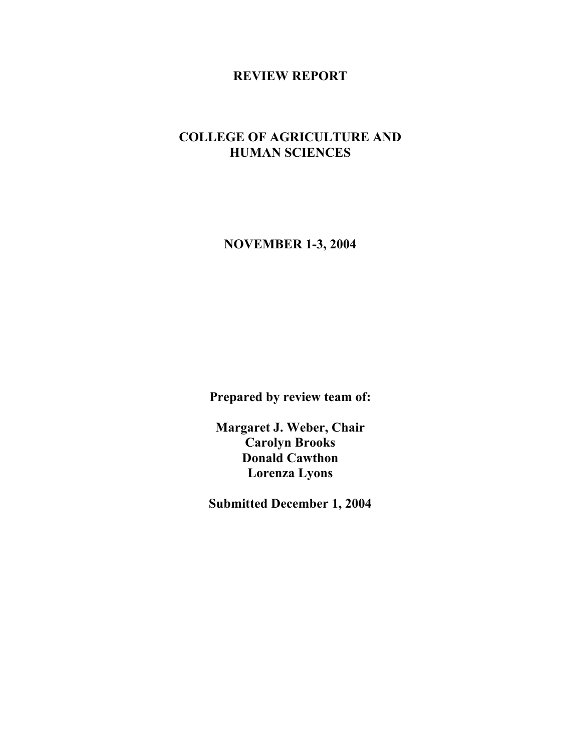## **REVIEW REPORT**

# **COLLEGE OF AGRICULTURE AND HUMAN SCIENCES**

**NOVEMBER 1-3, 2004**

**Prepared by review team of:**

**Margaret J. Weber, Chair Carolyn Brooks Donald Cawthon Lorenza Lyons**

**Submitted December 1, 2004**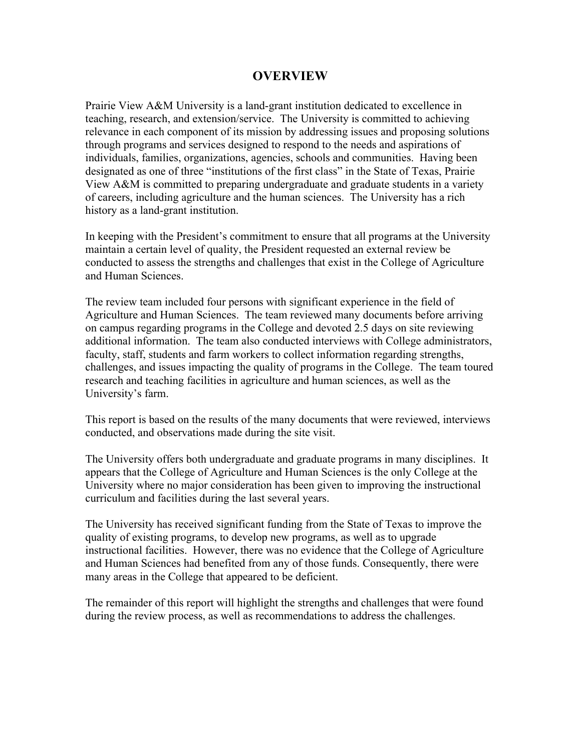## **OVERVIEW**

Prairie View A&M University is a land-grant institution dedicated to excellence in teaching, research, and extension/service. The University is committed to achieving relevance in each component of its mission by addressing issues and proposing solutions through programs and services designed to respond to the needs and aspirations of individuals, families, organizations, agencies, schools and communities. Having been designated as one of three "institutions of the first class" in the State of Texas, Prairie View A&M is committed to preparing undergraduate and graduate students in a variety of careers, including agriculture and the human sciences. The University has a rich history as a land-grant institution.

In keeping with the President's commitment to ensure that all programs at the University maintain a certain level of quality, the President requested an external review be conducted to assess the strengths and challenges that exist in the College of Agriculture and Human Sciences.

The review team included four persons with significant experience in the field of Agriculture and Human Sciences. The team reviewed many documents before arriving on campus regarding programs in the College and devoted 2.5 days on site reviewing additional information. The team also conducted interviews with College administrators, faculty, staff, students and farm workers to collect information regarding strengths, challenges, and issues impacting the quality of programs in the College. The team toured research and teaching facilities in agriculture and human sciences, as well as the University's farm.

This report is based on the results of the many documents that were reviewed, interviews conducted, and observations made during the site visit.

The University offers both undergraduate and graduate programs in many disciplines. It appears that the College of Agriculture and Human Sciences is the only College at the University where no major consideration has been given to improving the instructional curriculum and facilities during the last several years.

The University has received significant funding from the State of Texas to improve the quality of existing programs, to develop new programs, as well as to upgrade instructional facilities. However, there was no evidence that the College of Agriculture and Human Sciences had benefited from any of those funds. Consequently, there were many areas in the College that appeared to be deficient.

The remainder of this report will highlight the strengths and challenges that were found during the review process, as well as recommendations to address the challenges.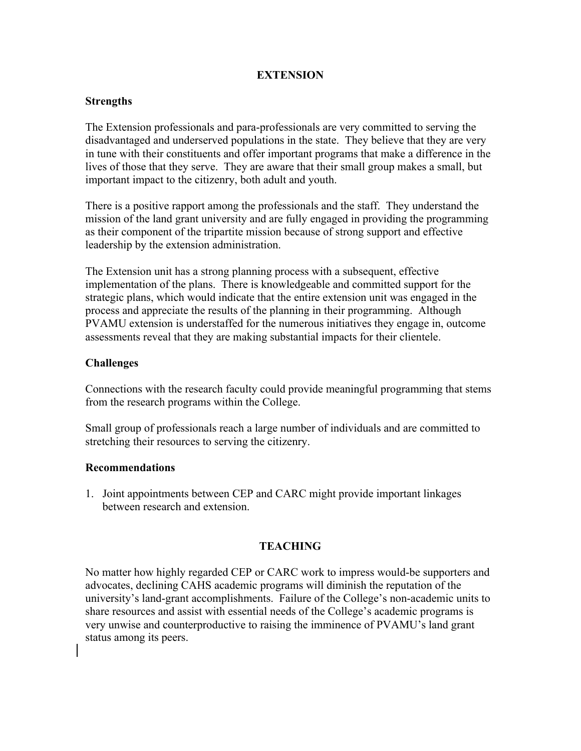## **EXTENSION**

#### **Strengths**

The Extension professionals and para-professionals are very committed to serving the disadvantaged and underserved populations in the state. They believe that they are very in tune with their constituents and offer important programs that make a difference in the lives of those that they serve. They are aware that their small group makes a small, but important impact to the citizenry, both adult and youth.

There is a positive rapport among the professionals and the staff. They understand the mission of the land grant university and are fully engaged in providing the programming as their component of the tripartite mission because of strong support and effective leadership by the extension administration.

The Extension unit has a strong planning process with a subsequent, effective implementation of the plans. There is knowledgeable and committed support for the strategic plans, which would indicate that the entire extension unit was engaged in the process and appreciate the results of the planning in their programming. Although PVAMU extension is understaffed for the numerous initiatives they engage in, outcome assessments reveal that they are making substantial impacts for their clientele.

## **Challenges**

Connections with the research faculty could provide meaningful programming that stems from the research programs within the College.

Small group of professionals reach a large number of individuals and are committed to stretching their resources to serving the citizenry.

#### **Recommendations**

1. Joint appointments between CEP and CARC might provide important linkages between research and extension.

#### **TEACHING**

No matter how highly regarded CEP or CARC work to impress would-be supporters and advocates, declining CAHS academic programs will diminish the reputation of the university's land-grant accomplishments. Failure of the College's non-academic units to share resources and assist with essential needs of the College's academic programs is very unwise and counterproductive to raising the imminence of PVAMU's land grant status among its peers.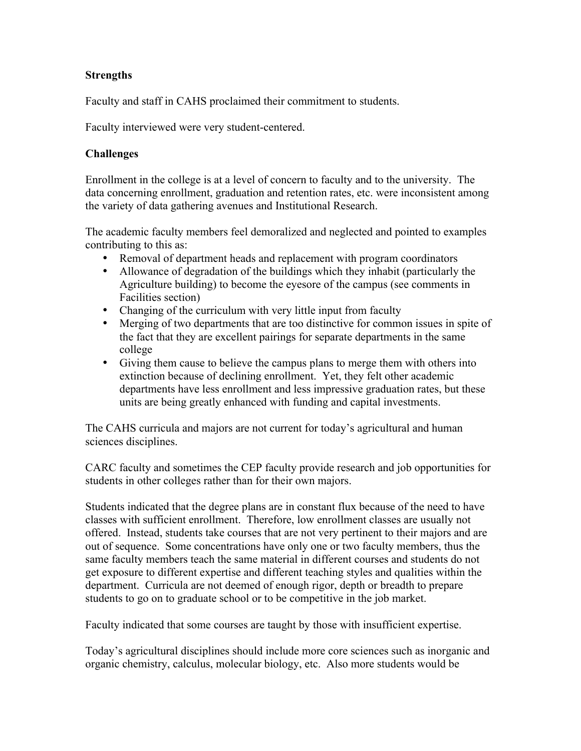## **Strengths**

Faculty and staff in CAHS proclaimed their commitment to students.

Faculty interviewed were very student-centered.

## **Challenges**

Enrollment in the college is at a level of concern to faculty and to the university. The data concerning enrollment, graduation and retention rates, etc. were inconsistent among the variety of data gathering avenues and Institutional Research.

The academic faculty members feel demoralized and neglected and pointed to examples contributing to this as:

- Removal of department heads and replacement with program coordinators
- Allowance of degradation of the buildings which they inhabit (particularly the Agriculture building) to become the eyesore of the campus (see comments in Facilities section)
- Changing of the curriculum with very little input from faculty
- Merging of two departments that are too distinctive for common issues in spite of the fact that they are excellent pairings for separate departments in the same college
- Giving them cause to believe the campus plans to merge them with others into extinction because of declining enrollment. Yet, they felt other academic departments have less enrollment and less impressive graduation rates, but these units are being greatly enhanced with funding and capital investments.

The CAHS curricula and majors are not current for today's agricultural and human sciences disciplines.

CARC faculty and sometimes the CEP faculty provide research and job opportunities for students in other colleges rather than for their own majors.

Students indicated that the degree plans are in constant flux because of the need to have classes with sufficient enrollment. Therefore, low enrollment classes are usually not offered. Instead, students take courses that are not very pertinent to their majors and are out of sequence. Some concentrations have only one or two faculty members, thus the same faculty members teach the same material in different courses and students do not get exposure to different expertise and different teaching styles and qualities within the department. Curricula are not deemed of enough rigor, depth or breadth to prepare students to go on to graduate school or to be competitive in the job market.

Faculty indicated that some courses are taught by those with insufficient expertise.

Today's agricultural disciplines should include more core sciences such as inorganic and organic chemistry, calculus, molecular biology, etc. Also more students would be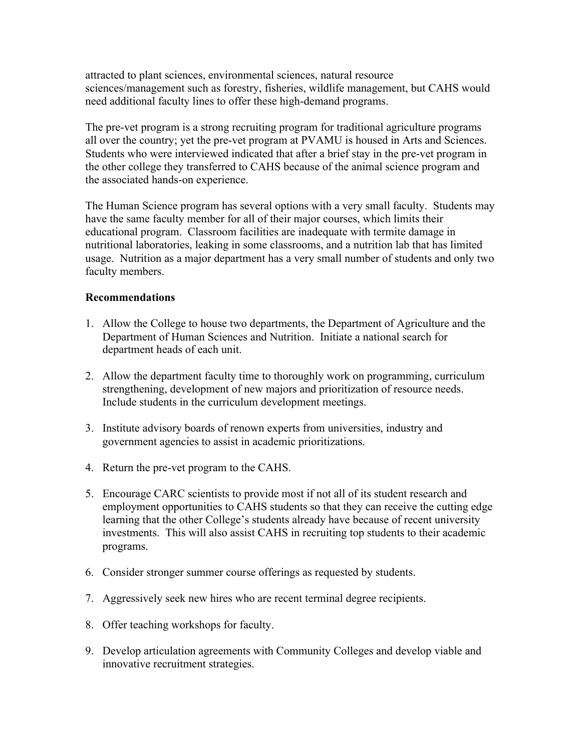attracted to plant sciences, environmental sciences, natural resource sciences/management such as forestry, fisheries, wildlife management, but CAHS would need additional faculty lines to offer these high-demand programs.

The pre-vet program is a strong recruiting program for traditional agriculture programs all over the country; yet the pre-vet program at PVAMU is housed in Arts and Sciences. Students who were interviewed indicated that after a brief stay in the pre-vet program in the other college they transferred to CAHS because of the animal science program and the associated hands-on experience.

The Human Science program has several options with a very small faculty. Students may have the same faculty member for all of their major courses, which limits their educational program. Classroom facilities are inadequate with termite damage in nutritional laboratories, leaking in some classrooms, and a nutrition lab that has limited usage. Nutrition as a major department has a very small number of students and only two faculty members.

## **Recommendations**

- 1. Allow the College to house two departments, the Department of Agriculture and the Department of Human Sciences and Nutrition. Initiate a national search for department heads of each unit.
- 2. Allow the department faculty time to thoroughly work on programming, curriculum strengthening, development of new majors and prioritization of resource needs. Include students in the curriculum development meetings.
- 3. Institute advisory boards of renown experts from universities, industry and government agencies to assist in academic prioritizations.
- 4. Return the pre-vet program to the CAHS.
- 5. Encourage CARC scientists to provide most if not all of its student research and employment opportunities to CAHS students so that they can receive the cutting edge learning that the other College's students already have because of recent university investments. This will also assist CAHS in recruiting top students to their academic programs.
- 6. Consider stronger summer course offerings as requested by students.
- 7. Aggressively seek new hires who are recent terminal degree recipients.
- 8. Offer teaching workshops for faculty.
- 9. Develop articulation agreements with Community Colleges and develop viable and innovative recruitment strategies.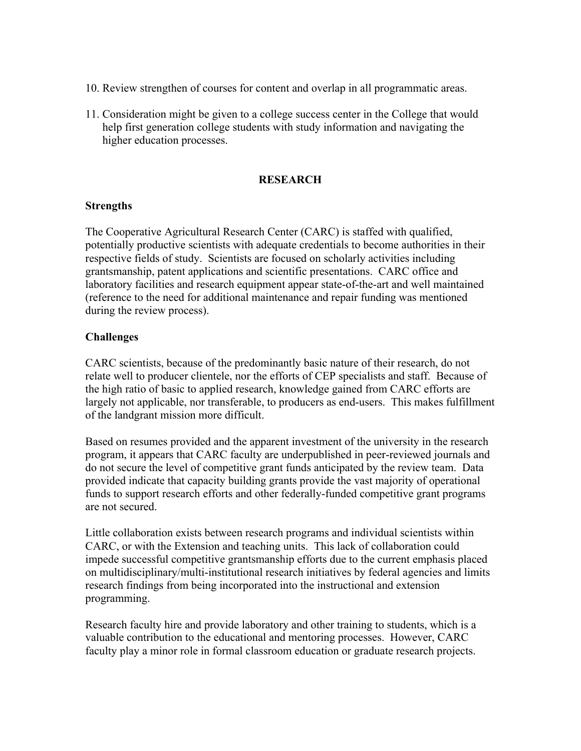- 10. Review strengthen of courses for content and overlap in all programmatic areas.
- 11. Consideration might be given to a college success center in the College that would help first generation college students with study information and navigating the higher education processes.

#### **RESEARCH**

#### **Strengths**

The Cooperative Agricultural Research Center (CARC) is staffed with qualified, potentially productive scientists with adequate credentials to become authorities in their respective fields of study. Scientists are focused on scholarly activities including grantsmanship, patent applications and scientific presentations. CARC office and laboratory facilities and research equipment appear state-of-the-art and well maintained (reference to the need for additional maintenance and repair funding was mentioned during the review process).

## **Challenges**

CARC scientists, because of the predominantly basic nature of their research, do not relate well to producer clientele, nor the efforts of CEP specialists and staff. Because of the high ratio of basic to applied research, knowledge gained from CARC efforts are largely not applicable, nor transferable, to producers as end-users. This makes fulfillment of the landgrant mission more difficult.

Based on resumes provided and the apparent investment of the university in the research program, it appears that CARC faculty are underpublished in peer-reviewed journals and do not secure the level of competitive grant funds anticipated by the review team. Data provided indicate that capacity building grants provide the vast majority of operational funds to support research efforts and other federally-funded competitive grant programs are not secured.

Little collaboration exists between research programs and individual scientists within CARC, or with the Extension and teaching units. This lack of collaboration could impede successful competitive grantsmanship efforts due to the current emphasis placed on multidisciplinary/multi-institutional research initiatives by federal agencies and limits research findings from being incorporated into the instructional and extension programming.

Research faculty hire and provide laboratory and other training to students, which is a valuable contribution to the educational and mentoring processes. However, CARC faculty play a minor role in formal classroom education or graduate research projects.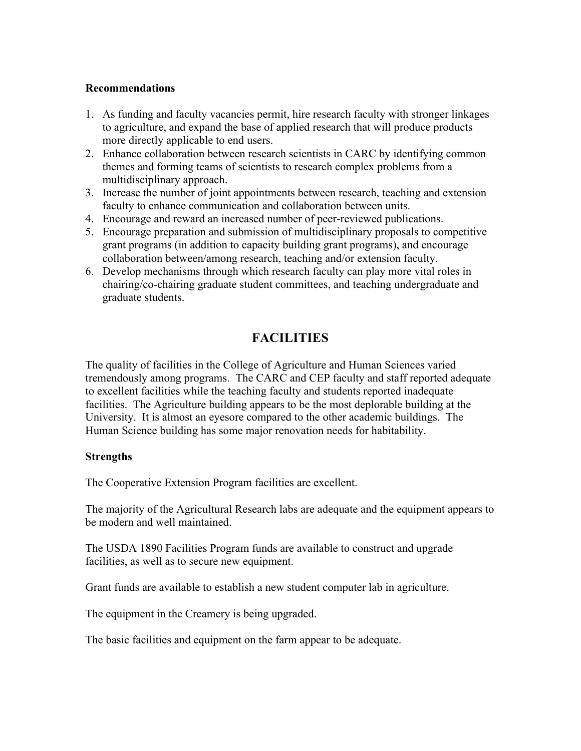#### **Recommendations**

- 1. As funding and faculty vacancies permit, hire research faculty with stronger linkages to agriculture, and expand the base of applied research that will produce products more directly applicable to end users.
- 2. Enhance collaboration between research scientists in CARC by identifying common themes and forming teams of scientists to research complex problems from a multidisciplinary approach.
- 3. Increase the number of joint appointments between research, teaching and extension faculty to enhance communication and collaboration between units.
- 4. Encourage and reward an increased number of peer-reviewed publications.
- 5. Encourage preparation and submission of multidisciplinary proposals to competitive grant programs (in addition to capacity building grant programs), and encourage collaboration between/among research, teaching and/or extension faculty.
- 6. Develop mechanisms through which research faculty can play more vital roles in chairing/co-chairing graduate student committees, and teaching undergraduate and graduate students.

# **FACILITIES**

The quality of facilities in the College of Agriculture and Human Sciences varied tremendously among programs. The CARC and CEP faculty and staff reported adequate to excellent facilities while the teaching faculty and students reported inadequate facilities. The Agriculture building appears to be the most deplorable building at the University. It is almost an eyesore compared to the other academic buildings. The Human Science building has some major renovation needs for habitability.

## **Strengths**

The Cooperative Extension Program facilities are excellent.

The majority of the Agricultural Research labs are adequate and the equipment appears to be modern and well maintained.

The USDA 1890 Facilities Program funds are available to construct and upgrade facilities, as well as to secure new equipment.

Grant funds are available to establish a new student computer lab in agriculture.

The equipment in the Creamery is being upgraded.

The basic facilities and equipment on the farm appear to be adequate.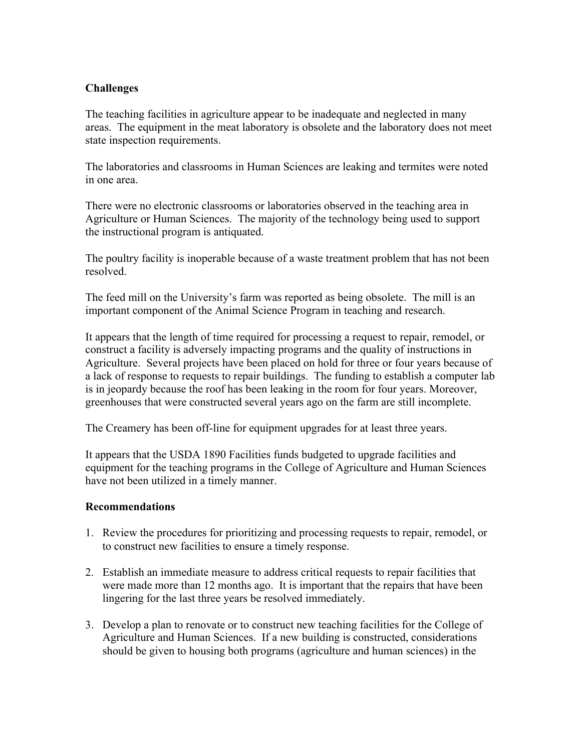## **Challenges**

The teaching facilities in agriculture appear to be inadequate and neglected in many areas. The equipment in the meat laboratory is obsolete and the laboratory does not meet state inspection requirements.

The laboratories and classrooms in Human Sciences are leaking and termites were noted in one area.

There were no electronic classrooms or laboratories observed in the teaching area in Agriculture or Human Sciences. The majority of the technology being used to support the instructional program is antiquated.

The poultry facility is inoperable because of a waste treatment problem that has not been resolved.

The feed mill on the University's farm was reported as being obsolete. The mill is an important component of the Animal Science Program in teaching and research.

It appears that the length of time required for processing a request to repair, remodel, or construct a facility is adversely impacting programs and the quality of instructions in Agriculture. Several projects have been placed on hold for three or four years because of a lack of response to requests to repair buildings. The funding to establish a computer lab is in jeopardy because the roof has been leaking in the room for four years. Moreover, greenhouses that were constructed several years ago on the farm are still incomplete.

The Creamery has been off-line for equipment upgrades for at least three years.

It appears that the USDA 1890 Facilities funds budgeted to upgrade facilities and equipment for the teaching programs in the College of Agriculture and Human Sciences have not been utilized in a timely manner.

## **Recommendations**

- 1. Review the procedures for prioritizing and processing requests to repair, remodel, or to construct new facilities to ensure a timely response.
- 2. Establish an immediate measure to address critical requests to repair facilities that were made more than 12 months ago. It is important that the repairs that have been lingering for the last three years be resolved immediately.
- 3. Develop a plan to renovate or to construct new teaching facilities for the College of Agriculture and Human Sciences. If a new building is constructed, considerations should be given to housing both programs (agriculture and human sciences) in the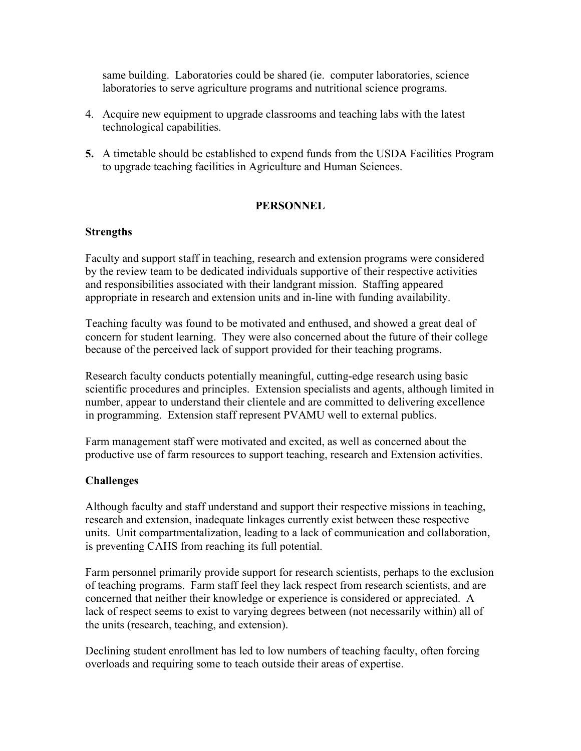same building. Laboratories could be shared (ie. computer laboratories, science laboratories to serve agriculture programs and nutritional science programs.

- 4. Acquire new equipment to upgrade classrooms and teaching labs with the latest technological capabilities.
- **5.** A timetable should be established to expend funds from the USDA Facilities Program to upgrade teaching facilities in Agriculture and Human Sciences.

## **PERSONNEL**

#### **Strengths**

Faculty and support staff in teaching, research and extension programs were considered by the review team to be dedicated individuals supportive of their respective activities and responsibilities associated with their landgrant mission. Staffing appeared appropriate in research and extension units and in-line with funding availability.

Teaching faculty was found to be motivated and enthused, and showed a great deal of concern for student learning. They were also concerned about the future of their college because of the perceived lack of support provided for their teaching programs.

Research faculty conducts potentially meaningful, cutting-edge research using basic scientific procedures and principles. Extension specialists and agents, although limited in number, appear to understand their clientele and are committed to delivering excellence in programming. Extension staff represent PVAMU well to external publics.

Farm management staff were motivated and excited, as well as concerned about the productive use of farm resources to support teaching, research and Extension activities.

#### **Challenges**

Although faculty and staff understand and support their respective missions in teaching, research and extension, inadequate linkages currently exist between these respective units. Unit compartmentalization, leading to a lack of communication and collaboration, is preventing CAHS from reaching its full potential.

Farm personnel primarily provide support for research scientists, perhaps to the exclusion of teaching programs. Farm staff feel they lack respect from research scientists, and are concerned that neither their knowledge or experience is considered or appreciated. A lack of respect seems to exist to varying degrees between (not necessarily within) all of the units (research, teaching, and extension).

Declining student enrollment has led to low numbers of teaching faculty, often forcing overloads and requiring some to teach outside their areas of expertise.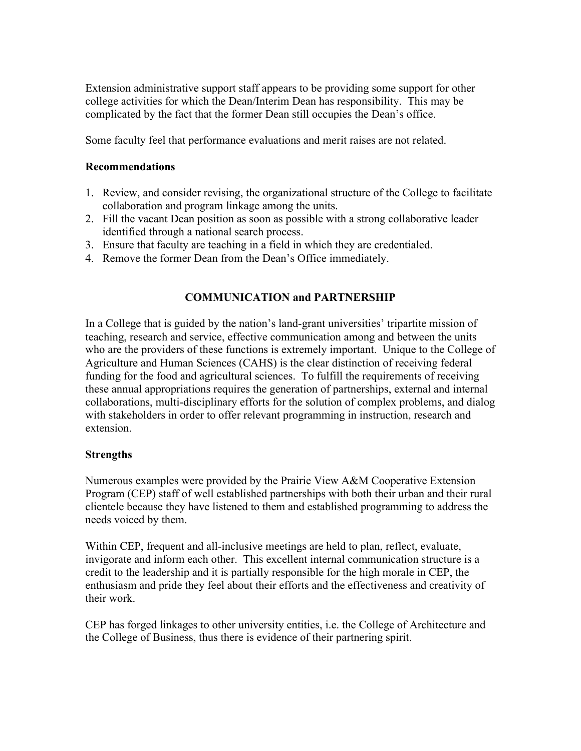Extension administrative support staff appears to be providing some support for other college activities for which the Dean/Interim Dean has responsibility. This may be complicated by the fact that the former Dean still occupies the Dean's office.

Some faculty feel that performance evaluations and merit raises are not related.

## **Recommendations**

- 1. Review, and consider revising, the organizational structure of the College to facilitate collaboration and program linkage among the units.
- 2. Fill the vacant Dean position as soon as possible with a strong collaborative leader identified through a national search process.
- 3. Ensure that faculty are teaching in a field in which they are credentialed.
- 4. Remove the former Dean from the Dean's Office immediately.

## **COMMUNICATION and PARTNERSHIP**

In a College that is guided by the nation's land-grant universities' tripartite mission of teaching, research and service, effective communication among and between the units who are the providers of these functions is extremely important. Unique to the College of Agriculture and Human Sciences (CAHS) is the clear distinction of receiving federal funding for the food and agricultural sciences. To fulfill the requirements of receiving these annual appropriations requires the generation of partnerships, external and internal collaborations, multi-disciplinary efforts for the solution of complex problems, and dialog with stakeholders in order to offer relevant programming in instruction, research and extension.

#### **Strengths**

Numerous examples were provided by the Prairie View A&M Cooperative Extension Program (CEP) staff of well established partnerships with both their urban and their rural clientele because they have listened to them and established programming to address the needs voiced by them.

Within CEP, frequent and all-inclusive meetings are held to plan, reflect, evaluate, invigorate and inform each other. This excellent internal communication structure is a credit to the leadership and it is partially responsible for the high morale in CEP, the enthusiasm and pride they feel about their efforts and the effectiveness and creativity of their work.

CEP has forged linkages to other university entities, i.e. the College of Architecture and the College of Business, thus there is evidence of their partnering spirit.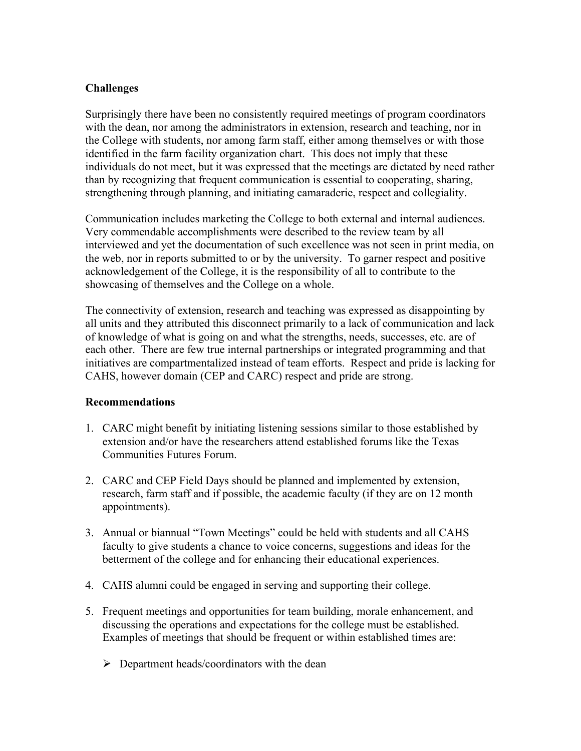## **Challenges**

Surprisingly there have been no consistently required meetings of program coordinators with the dean, nor among the administrators in extension, research and teaching, nor in the College with students, nor among farm staff, either among themselves or with those identified in the farm facility organization chart. This does not imply that these individuals do not meet, but it was expressed that the meetings are dictated by need rather than by recognizing that frequent communication is essential to cooperating, sharing, strengthening through planning, and initiating camaraderie, respect and collegiality.

Communication includes marketing the College to both external and internal audiences. Very commendable accomplishments were described to the review team by all interviewed and yet the documentation of such excellence was not seen in print media, on the web, nor in reports submitted to or by the university. To garner respect and positive acknowledgement of the College, it is the responsibility of all to contribute to the showcasing of themselves and the College on a whole.

The connectivity of extension, research and teaching was expressed as disappointing by all units and they attributed this disconnect primarily to a lack of communication and lack of knowledge of what is going on and what the strengths, needs, successes, etc. are of each other. There are few true internal partnerships or integrated programming and that initiatives are compartmentalized instead of team efforts. Respect and pride is lacking for CAHS, however domain (CEP and CARC) respect and pride are strong.

## **Recommendations**

- 1. CARC might benefit by initiating listening sessions similar to those established by extension and/or have the researchers attend established forums like the Texas Communities Futures Forum.
- 2. CARC and CEP Field Days should be planned and implemented by extension, research, farm staff and if possible, the academic faculty (if they are on 12 month appointments).
- 3. Annual or biannual "Town Meetings" could be held with students and all CAHS faculty to give students a chance to voice concerns, suggestions and ideas for the betterment of the college and for enhancing their educational experiences.
- 4. CAHS alumni could be engaged in serving and supporting their college.
- 5. Frequent meetings and opportunities for team building, morale enhancement, and discussing the operations and expectations for the college must be established. Examples of meetings that should be frequent or within established times are:
	- $\triangleright$  Department heads/coordinators with the dean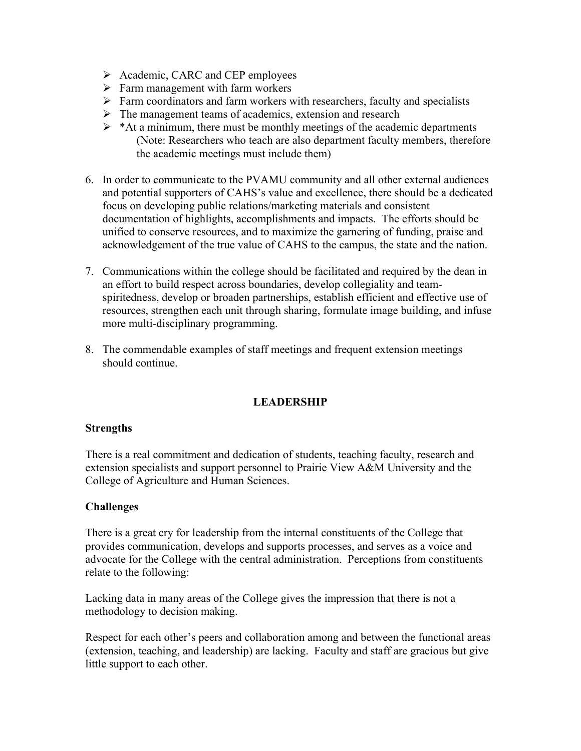- $\triangleright$  Academic, CARC and CEP employees
- $\triangleright$  Farm management with farm workers
- $\triangleright$  Farm coordinators and farm workers with researchers, faculty and specialists
- $\triangleright$  The management teams of academics, extension and research
- $\triangleright$  \*At a minimum, there must be monthly meetings of the academic departments (Note: Researchers who teach are also department faculty members, therefore the academic meetings must include them)
- 6. In order to communicate to the PVAMU community and all other external audiences and potential supporters of CAHS's value and excellence, there should be a dedicated focus on developing public relations/marketing materials and consistent documentation of highlights, accomplishments and impacts. The efforts should be unified to conserve resources, and to maximize the garnering of funding, praise and acknowledgement of the true value of CAHS to the campus, the state and the nation.
- 7. Communications within the college should be facilitated and required by the dean in an effort to build respect across boundaries, develop collegiality and teamspiritedness, develop or broaden partnerships, establish efficient and effective use of resources, strengthen each unit through sharing, formulate image building, and infuse more multi-disciplinary programming.
- 8. The commendable examples of staff meetings and frequent extension meetings should continue.

## **LEADERSHIP**

#### **Strengths**

There is a real commitment and dedication of students, teaching faculty, research and extension specialists and support personnel to Prairie View A&M University and the College of Agriculture and Human Sciences.

#### **Challenges**

There is a great cry for leadership from the internal constituents of the College that provides communication, develops and supports processes, and serves as a voice and advocate for the College with the central administration. Perceptions from constituents relate to the following:

Lacking data in many areas of the College gives the impression that there is not a methodology to decision making.

Respect for each other's peers and collaboration among and between the functional areas (extension, teaching, and leadership) are lacking. Faculty and staff are gracious but give little support to each other.